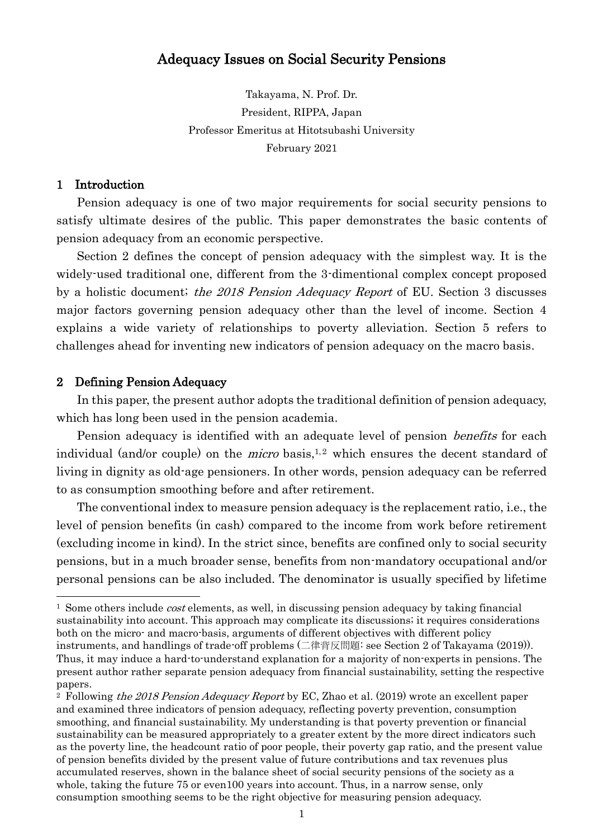# Adequacy Issues on Social Security Pensions

Takayama, N. Prof. Dr. President, RIPPA, Japan Professor Emeritus at Hitotsubashi University February 2021

## 1 Introduction

Pension adequacy is one of two major requirements for social security pensions to satisfy ultimate desires of the public. This paper demonstrates the basic contents of pension adequacy from an economic perspective.

Section 2 defines the concept of pension adequacy with the simplest way. It is the widely-used traditional one, different from the 3-dimentional complex concept proposed by a holistic document; the 2018 Pension Adequacy Report of EU. Section 3 discusses major factors governing pension adequacy other than the level of income. Section 4 explains a wide variety of relationships to poverty alleviation. Section 5 refers to challenges ahead for inventing new indicators of pension adequacy on the macro basis.

## 2 Defining Pension Adequacy

In this paper, the present author adopts the traditional definition of pension adequacy, which has long been used in the pension academia.

Pension adequacy is identified with an adequate level of pension *benefits* for each individual (and/or couple) on the *micro* basis,<sup>1,2</sup> which ensures the decent standard of living in dignity as old-age pensioners. In other words, pension adequacy can be referred to as consumption smoothing before and after retirement.

The conventional index to measure pension adequacy is the replacement ratio, i.e., the level of pension benefits (in cash) compared to the income from work before retirement (excluding income in kind). In the strict since, benefits are confined only to social security pensions, but in a much broader sense, benefits from non-mandatory occupational and/or personal pensions can be also included. The denominator is usually specified by lifetime

 $1$  Some others include *cost* elements, as well, in discussing pension adequacy by taking financial sustainability into account. This approach may complicate its discussions; it requires considerations both on the micro- and macro-basis, arguments of different objectives with different policy instruments, and handlings of trade-off problems (二律背反問題: see Section 2 of Takayama (2019)). Thus, it may induce a hard-to-understand explanation for a majority of non-experts in pensions. The present author rather separate pension adequacy from financial sustainability, setting the respective papers.

<sup>&</sup>lt;sup>2</sup> Following the 2018 Pension Adequacy Report by EC, Zhao et al.  $(2019)$  wrote an excellent paper and examined three indicators of pension adequacy, reflecting poverty prevention, consumption smoothing, and financial sustainability. My understanding is that poverty prevention or financial sustainability can be measured appropriately to a greater extent by the more direct indicators such as the poverty line, the headcount ratio of poor people, their poverty gap ratio, and the present value of pension benefits divided by the present value of future contributions and tax revenues plus accumulated reserves, shown in the balance sheet of social security pensions of the society as a whole, taking the future 75 or even100 years into account. Thus, in a narrow sense, only consumption smoothing seems to be the right objective for measuring pension adequacy.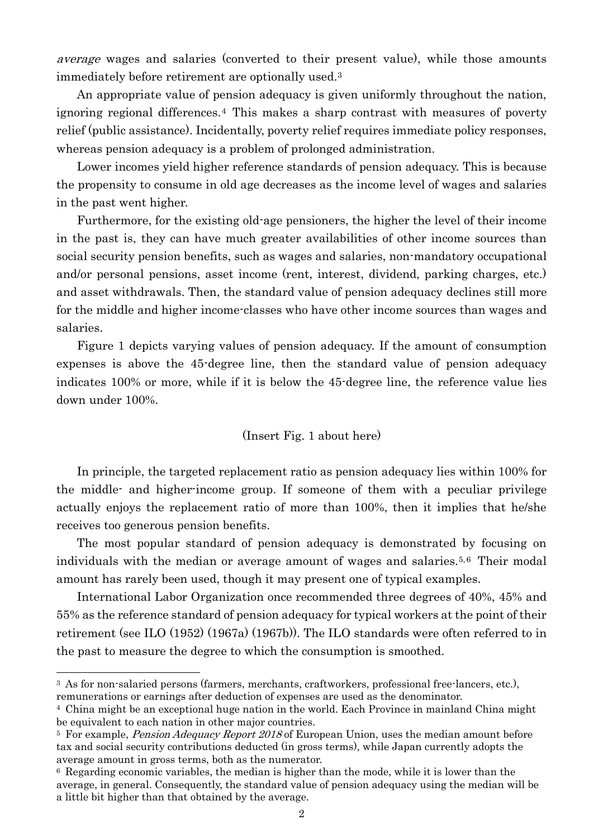average wages and salaries (converted to their present value), while those amounts immediately before retirement are optionally used.<sup>3</sup>

An appropriate value of pension adequacy is given uniformly throughout the nation, ignoring regional differences.<sup>4</sup> This makes a sharp contrast with measures of poverty relief (public assistance). Incidentally, poverty relief requires immediate policy responses, whereas pension adequacy is a problem of prolonged administration.

Lower incomes yield higher reference standards of pension adequacy. This is because the propensity to consume in old age decreases as the income level of wages and salaries in the past went higher.

Furthermore, for the existing old-age pensioners, the higher the level of their income in the past is, they can have much greater availabilities of other income sources than social security pension benefits, such as wages and salaries, non-mandatory occupational and/or personal pensions, asset income (rent, interest, dividend, parking charges, etc.) and asset withdrawals. Then, the standard value of pension adequacy declines still more for the middle and higher income-classes who have other income sources than wages and salaries.

Figure 1 depicts varying values of pension adequacy. If the amount of consumption expenses is above the 45-degree line, then the standard value of pension adequacy indicates 100% or more, while if it is below the 45-degree line, the reference value lies down under 100%.

## (Insert Fig. 1 about here)

In principle, the targeted replacement ratio as pension adequacy lies within 100% for the middle- and higher-income group. If someone of them with a peculiar privilege actually enjoys the replacement ratio of more than 100%, then it implies that he/she receives too generous pension benefits.

The most popular standard of pension adequacy is demonstrated by focusing on individuals with the median or average amount of wages and salaries.5,6 Their modal amount has rarely been used, though it may present one of typical examples.

International Labor Organization once recommended three degrees of 40%, 45% and 55% as the reference standard of pension adequacy for typical workers at the point of their retirement (see ILO (1952) (1967a) (1967b)). The ILO standards were often referred to in the past to measure the degree to which the consumption is smoothed.

<sup>3</sup> As for non-salaried persons (farmers, merchants, craftworkers, professional free-lancers, etc.), remunerations or earnings after deduction of expenses are used as the denominator.

<sup>4</sup> China might be an exceptional huge nation in the world. Each Province in mainland China might be equivalent to each nation in other major countries.

<sup>&</sup>lt;sup>5</sup> For example, *Pension Adequacy Report 2018* of European Union, uses the median amount before tax and social security contributions deducted (in gross terms), while Japan currently adopts the average amount in gross terms, both as the numerator.

<sup>6</sup> Regarding economic variables, the median is higher than the mode, while it is lower than the average, in general. Consequently, the standard value of pension adequacy using the median will be a little bit higher than that obtained by the average.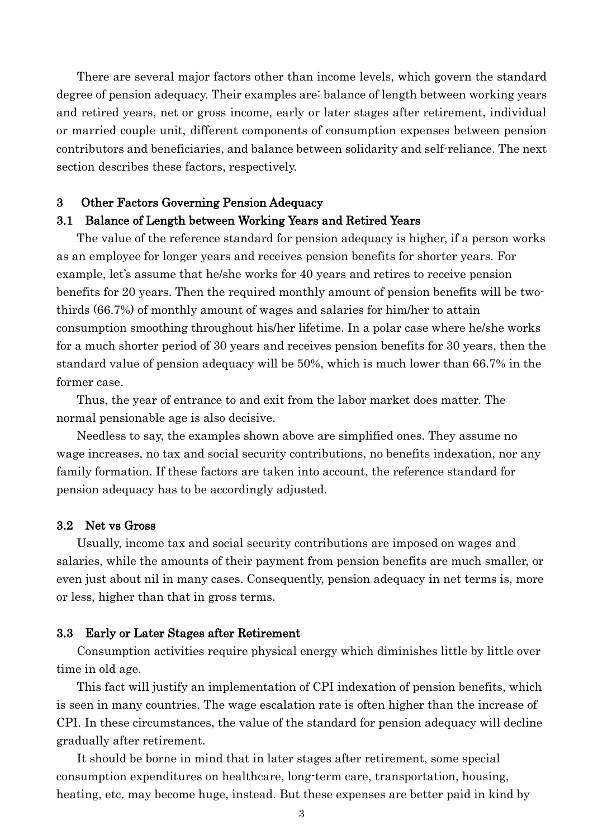There are several major factors other than income levels, which govern the standard degree of pension adequacy. Their examples are: balance of length between working years and retired years, net or gross income, early or later stages after retirement, individual or married couple unit, different components of consumption expenses between pension contributors and beneficiaries, and balance between solidarity and self-reliance. The next section describes these factors, respectively.

## 3 Other Factors Governing Pension Adequacy

#### 3.1 Balance of Length between Working Years and Retired Years

The value of the reference standard for pension adequacy is higher, if a person works as an employee for longer years and receives pension benefits for shorter years. For example, let's assume that he/she works for 40 years and retires to receive pension benefits for 20 years. Then the required monthly amount of pension benefits will be twothirds (66.7%) of monthly amount of wages and salaries for him/her to attain consumption smoothing throughout his/her lifetime. In a polar case where he/she works for a much shorter period of 30 years and receives pension benefits for 30 years, then the standard value of pension adequacy will be 50%, which is much lower than 66.7% in the former case.

Thus, the year of entrance to and exit from the labor market does matter. The normal pensionable age is also decisive.

Needless to say, the examples shown above are simplified ones. They assume no wage increases, no tax and social security contributions, no benefits indexation, nor any family formation. If these factors are taken into account, the reference standard for pension adequacy has to be accordingly adjusted.

#### 3.2 Net vs Gross

Usually, income tax and social security contributions are imposed on wages and salaries, while the amounts of their payment from pension benefits are much smaller, or even just about nil in many cases. Consequently, pension adequacy in net terms is, more or less, higher than that in gross terms.

#### 3.3 Early or Later Stages after Retirement

Consumption activities require physical energy which diminishes little by little over time in old age.

This fact will justify an implementation of CPI indexation of pension benefits, which is seen in many countries. The wage escalation rate is often higher than the increase of CPI. In these circumstances, the value of the standard for pension adequacy will decline gradually after retirement.

It should be borne in mind that in later stages after retirement, some special consumption expenditures on healthcare, long-term care, transportation, housing, heating, etc. may become huge, instead. But these expenses are better paid in kind by

3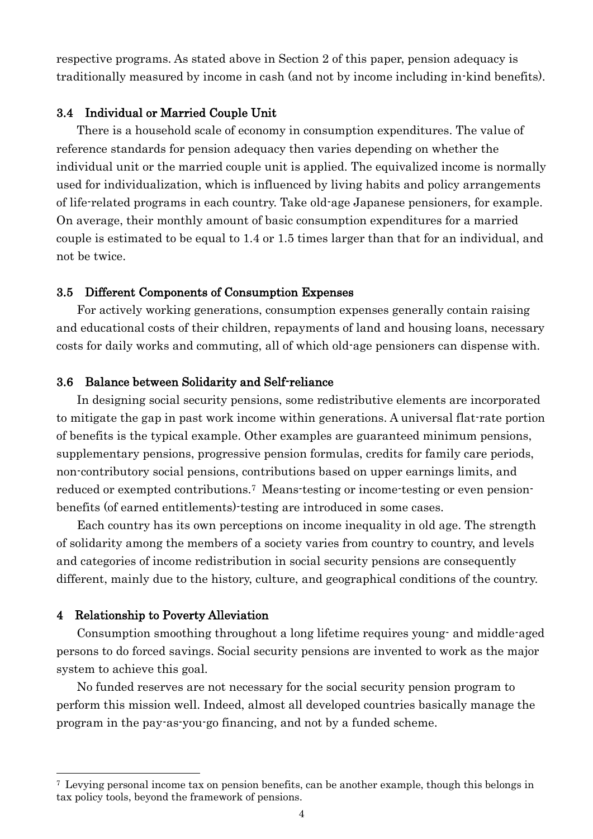respective programs. As stated above in Section 2 of this paper, pension adequacy is traditionally measured by income in cash (and not by income including in-kind benefits).

## 3.4 Individual or Married Couple Unit

There is a household scale of economy in consumption expenditures. The value of reference standards for pension adequacy then varies depending on whether the individual unit or the married couple unit is applied. The equivalized income is normally used for individualization, which is influenced by living habits and policy arrangements of life-related programs in each country. Take old-age Japanese pensioners, for example. On average, their monthly amount of basic consumption expenditures for a married couple is estimated to be equal to 1.4 or 1.5 times larger than that for an individual, and not be twice.

## 3.5 Different Components of Consumption Expenses

For actively working generations, consumption expenses generally contain raising and educational costs of their children, repayments of land and housing loans, necessary costs for daily works and commuting, all of which old-age pensioners can dispense with.

## 3.6 Balance between Solidarity and Self-reliance

In designing social security pensions, some redistributive elements are incorporated to mitigate the gap in past work income within generations. A universal flat-rate portion of benefits is the typical example. Other examples are guaranteed minimum pensions, supplementary pensions, progressive pension formulas, credits for family care periods, non-contributory social pensions, contributions based on upper earnings limits, and reduced or exempted contributions.<sup>7</sup> Means-testing or income-testing or even pensionbenefits (of earned entitlements)-testing are introduced in some cases.

Each country has its own perceptions on income inequality in old age. The strength of solidarity among the members of a society varies from country to country, and levels and categories of income redistribution in social security pensions are consequently different, mainly due to the history, culture, and geographical conditions of the country.

#### 4 Relationship to Poverty Alleviation

Consumption smoothing throughout a long lifetime requires young- and middle-aged persons to do forced savings. Social security pensions are invented to work as the major system to achieve this goal.

No funded reserves are not necessary for the social security pension program to perform this mission well. Indeed, almost all developed countries basically manage the program in the pay-as-you-go financing, and not by a funded scheme.

<sup>7</sup> Levying personal income tax on pension benefits, can be another example, though this belongs in tax policy tools, beyond the framework of pensions.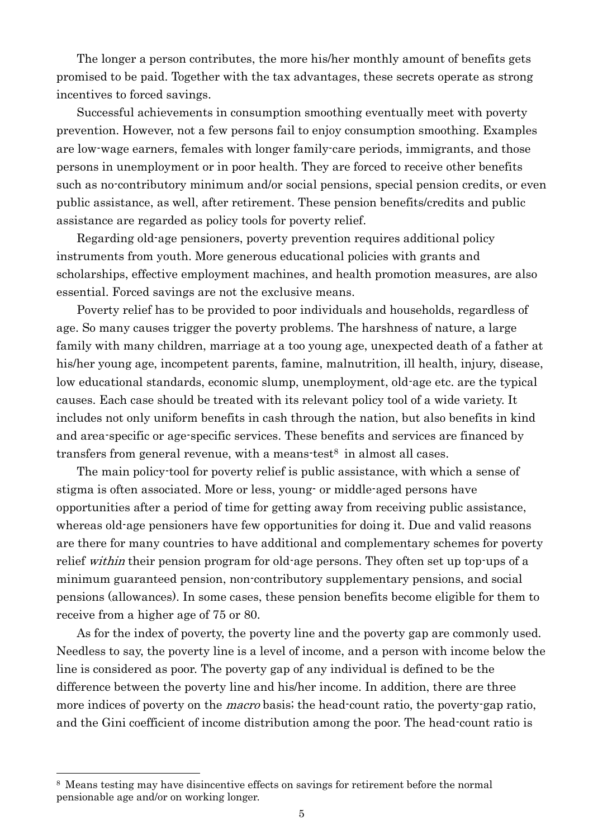The longer a person contributes, the more his/her monthly amount of benefits gets promised to be paid. Together with the tax advantages, these secrets operate as strong incentives to forced savings.

Successful achievements in consumption smoothing eventually meet with poverty prevention. However, not a few persons fail to enjoy consumption smoothing. Examples are low-wage earners, females with longer family-care periods, immigrants, and those persons in unemployment or in poor health. They are forced to receive other benefits such as no-contributory minimum and/or social pensions, special pension credits, or even public assistance, as well, after retirement. These pension benefits/credits and public assistance are regarded as policy tools for poverty relief.

Regarding old-age pensioners, poverty prevention requires additional policy instruments from youth. More generous educational policies with grants and scholarships, effective employment machines, and health promotion measures, are also essential. Forced savings are not the exclusive means.

Poverty relief has to be provided to poor individuals and households, regardless of age. So many causes trigger the poverty problems. The harshness of nature, a large family with many children, marriage at a too young age, unexpected death of a father at his/her young age, incompetent parents, famine, malnutrition, ill health, injury, disease, low educational standards, economic slump, unemployment, old-age etc. are the typical causes. Each case should be treated with its relevant policy tool of a wide variety. It includes not only uniform benefits in cash through the nation, but also benefits in kind and area-specific or age-specific services. These benefits and services are financed by transfers from general revenue, with a means-test<sup>8</sup> in almost all cases.

The main policy-tool for poverty relief is public assistance, with which a sense of stigma is often associated. More or less, young- or middle-aged persons have opportunities after a period of time for getting away from receiving public assistance, whereas old-age pensioners have few opportunities for doing it. Due and valid reasons are there for many countries to have additional and complementary schemes for poverty relief *within* their pension program for old-age persons. They often set up top-ups of a minimum guaranteed pension, non-contributory supplementary pensions, and social pensions (allowances). In some cases, these pension benefits become eligible for them to receive from a higher age of 75 or 80.

As for the index of poverty, the poverty line and the poverty gap are commonly used. Needless to say, the poverty line is a level of income, and a person with income below the line is considered as poor. The poverty gap of any individual is defined to be the difference between the poverty line and his/her income. In addition, there are three more indices of poverty on the *macro* basis; the head-count ratio, the poverty-gap ratio, and the Gini coefficient of income distribution among the poor. The head-count ratio is

<sup>8</sup> Means testing may have disincentive effects on savings for retirement before the normal pensionable age and/or on working longer.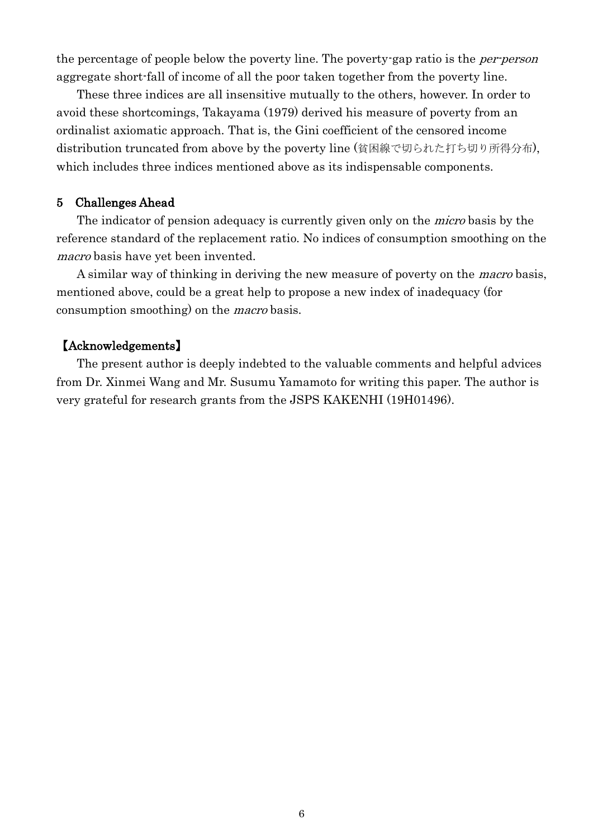the percentage of people below the poverty line. The poverty-gap ratio is the *per-person* aggregate short-fall of income of all the poor taken together from the poverty line.

These three indices are all insensitive mutually to the others, however. In order to avoid these shortcomings, Takayama (1979) derived his measure of poverty from an ordinalist axiomatic approach. That is, the Gini coefficient of the censored income distribution truncated from above by the poverty line (貧困線で切られた打ち切り所得分布), which includes three indices mentioned above as its indispensable components.

# 5 Challenges Ahead

The indicator of pension adequacy is currently given only on the *micro* basis by the reference standard of the replacement ratio. No indices of consumption smoothing on the macro basis have yet been invented.

A similar way of thinking in deriving the new measure of poverty on the macro basis, mentioned above, could be a great help to propose a new index of inadequacy (for consumption smoothing) on the *macro* basis.

# 【Acknowledgements】

The present author is deeply indebted to the valuable comments and helpful advices from Dr. Xinmei Wang and Mr. Susumu Yamamoto for writing this paper. The author is very grateful for research grants from the JSPS KAKENHI (19H01496).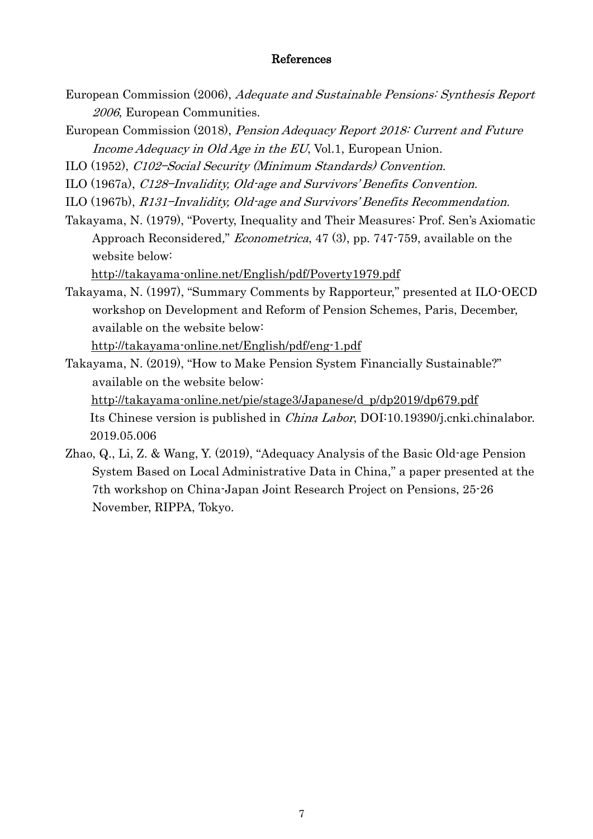# References

- European Commission (2006), Adequate and Sustainable Pensions: Synthesis Report 2006, European Communities.
- European Commission (2018), Pension Adequacy Report 2018: Current and Future Income Adequacy in Old Age in the EU, Vol.1, European Union.
- ILO (1952), C102—Social Security (Minimum Standards) Convention.
- ILO (1967a), C128—Invalidity, Old-age and Survivors' Benefits Convention.
- ILO (1967b), R131—Invalidity, Old-age and Survivors' Benefits Recommendation.
- Takayama, N. (1979), "Poverty, Inequality and Their Measures: Prof. Sen's Axiomatic Approach Reconsidered," Econometrica, 47 (3), pp. 747-759, available on the website below:

[http://takayama-online.net/English/pdf/Poverty1979.pdf](about:blank)

Takayama, N. (1997), "Summary Comments by Rapporteur," presented at ILO-OECD workshop on Development and Reform of Pension Schemes, Paris, December, available on the website below:

[http://takayama-online.net/English/pdf/eng-1.pdf](about:blank)

Takayama, N. (2019), "How to Make Pension System Financially Sustainable?" available on the website below: [http://takayama-online.net/pie/stage3/Japanese/d\\_p/dp2019/dp679.pdf](about:blank) Its Chinese version is published in China Labor, DOI:10.19390/j.cnki.chinalabor. 2019.05.006

Zhao, Q., Li, Z. & Wang, Y. (2019), "Adequacy Analysis of the Basic Old-age Pension System Based on Local Administrative Data in China," a paper presented at the 7th workshop on China-Japan Joint Research Project on Pensions, 25-26 November, RIPPA, Tokyo.